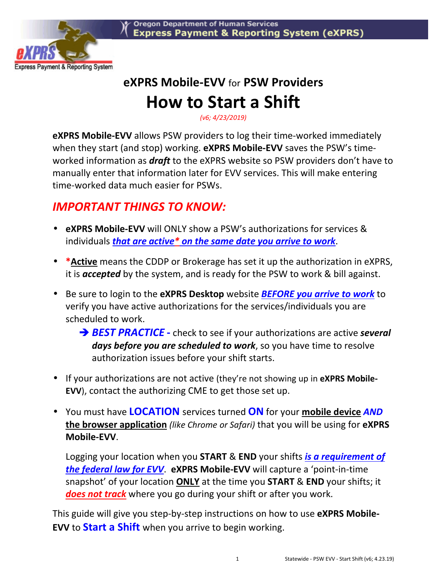

## **eXPRS Mobile-EVV** for **PSW Providers How to Start a Shift**

*(v6; 4/23/2019)* 

**eXPRS Mobile-EVV** allows PSW providers to log their time-worked immediately when they start (and stop) working. **eXPRS Mobile-EVV** saves the PSW's timeworked information as *draft* to the eXPRS website so PSW providers don't have to manually enter that information later for EVV services. This will make entering time-worked data much easier for PSWs.

## *IMPORTANT THINGS TO KNOW:*

- **eXPRS Mobile-EVV** will ONLY show a PSW's authorizations for services & individuals *that are active\* on the same date you arrive to work*.
- **\*Active** means the CDDP or Brokerage has set it up the authorization in eXPRS, it is *accepted* by the system, and is ready for the PSW to work & bill against.
- Be sure to login to the **eXPRS Desktop** website *BEFORE you arrive to work* to verify you have active authorizations for the services/individuals you are scheduled to work.
	- **→ BEST PRACTICE** check to see if your authorizations are active **several** *days before you are scheduled to work*, so you have time to resolve authorization issues before your shift starts.
- If your authorizations are not active (they're not showing up in **eXPRS Mobile-EVV**), contact the authorizing CME to get those set up.
- You must have **LOCATION** services turned **ON** for your **mobile device** *AND* **the browser application** *(like Chrome or Safari)* that you will be using for **eXPRS Mobile-EVV**.

Logging your location when you **START** & **END** your shifts *is a requirement of the federal law for EVV*. **eXPRS Mobile-EVV** will capture a 'point-in-time snapshot' of your location **ONLY** at the time you **START** & **END** your shifts; it *does not track* where you go during your shift or after you work.

This guide will give you step-by-step instructions on how to use **eXPRS Mobile-EVV** to **Start a Shift** when you arrive to begin working.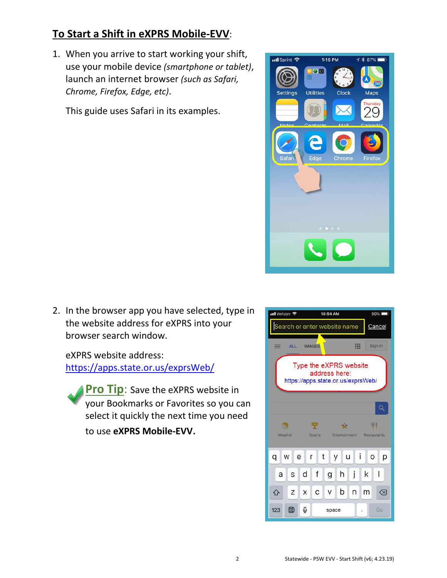## **To Start a Shift in eXPRS Mobile-EVV**:

1. When you arrive to start working your shift, use your mobile device *(smartphone or tablet)*, launch an internet browser *(such as Safari, Chrome, Firefox, Edge, etc)*.

This guide uses Safari in its examples.



2. In the browser app you have selected, type in the website address for eXPRS into your browser search window.

eXPRS website address: https://apps.state.or.us/exprsWeb/

**Pro Tip:** Save the eXPRS website in your Bookmarks or Favorites so you can select it quickly the next time you need to use **eXPRS Mobile-EVV**.

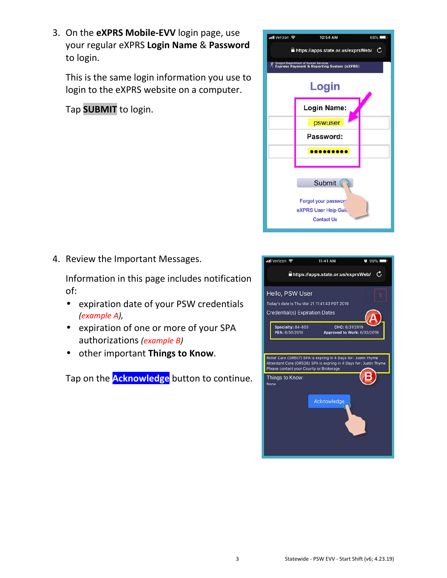3 Statewide - PSW EVV - Start Shift (v6; 4.23.19)

3. On the **eXPRS Mobile-EVV** login page, use your regular eXPRS **Login Name** & **Password** to login.

This is the same login information you use to login to the eXPRS website on a computer.

Tap **SUBMIT** to login.

4. Review the Important Messages.

Information in this page includes notification of:

- expiration date of your PSW credentials *(example A),*
- expiration of one or more of your SPA authorizations *(example B)*
- other important **Things to Know**.

Tap on the **Acknowledge** button to continue.



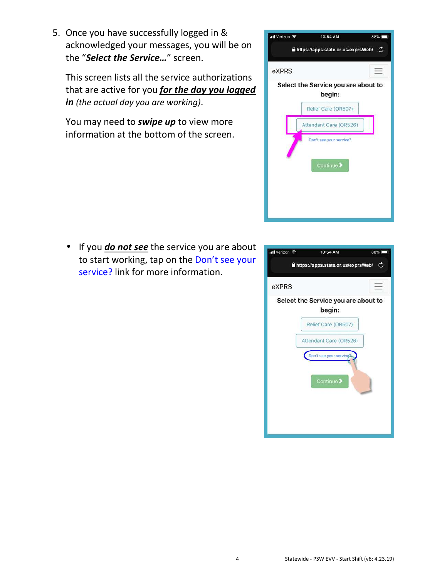4 Statewide - PSW EVV - Start Shift (v6; 4.23.19)

5. Once you have successfully logged in & acknowledged your messages, you will be on the "*Select the Service…*" screen.

This screen lists all the service authorizations that are active for you *for the day you logged in (the actual day you are working)*.

You may need to *swipe up* to view more information at the bottom of the screen.

• If you *do not see* the service you are about to start working, tap on the Don't see your service? link for more information.



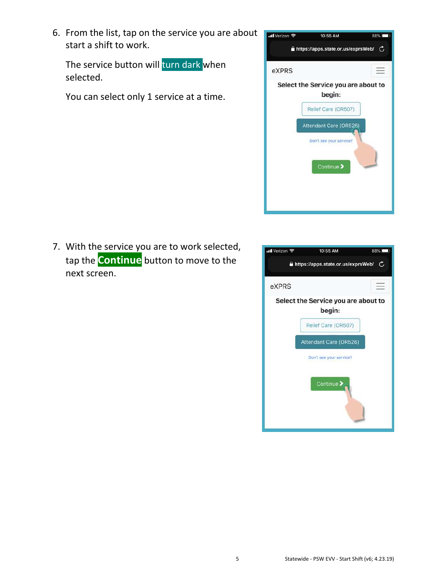6. From the list, tap on the service you are about start a shift to work.

The service button will turn dark when selected.

You can select only 1 service at a time.



7. With the service you are to work selected, tap the **Continue** button to move to the next screen.

| ull Verizon 중                                 | 10:55 AM                | 88% |  |  |
|-----------------------------------------------|-------------------------|-----|--|--|
| https://apps.state.or.us/exprsWeb/<br>C       |                         |     |  |  |
| eXPRS                                         |                         |     |  |  |
| Select the Service you are about to<br>begin: |                         |     |  |  |
|                                               | Relief Care (OR507)     |     |  |  |
|                                               | Attendant Care (OR526)  |     |  |  |
|                                               | Don't see your service? |     |  |  |
|                                               | Continue >              |     |  |  |
|                                               |                         |     |  |  |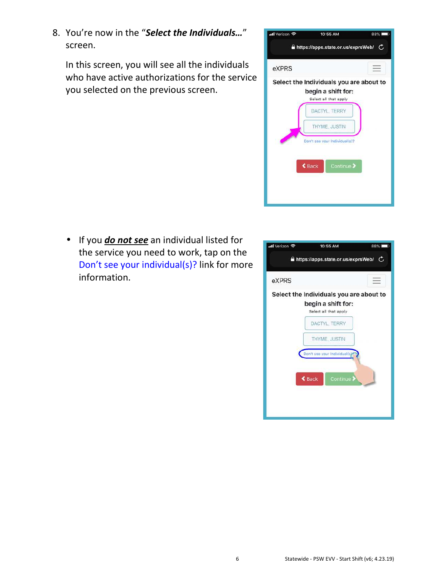8. You're now in the "*Select the Individuals…*" screen.

In this screen, you will see all the individuals who have active authorizations for the service you selected on the previous screen.



• If you *do not see* an individual listed for the service you need to work, tap on the Don't see your individual(s)? link for more information.

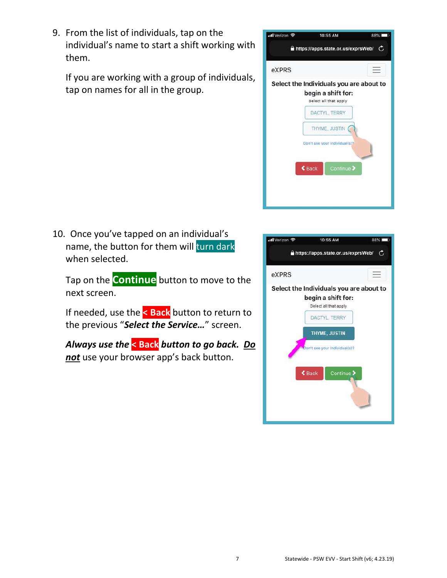9. From the list of individuals, tap on the individual's name to start a shift working with them.

If you are working with a group of individuals, tap on names for all in the group.

10. Once you've tapped on an individual's name, the button for them will turn dark when selected.

Tap on the **Continue** button to move to the next screen.

If needed, use the **< Back** button to return to the previous "*Select the Service…*" screen.

*Always use the* **< Back** *button to go back. Do not* use your browser app's back button.



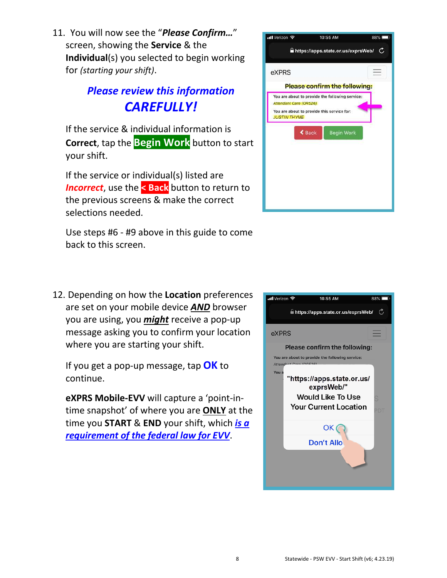11. You will now see the "*Please Confirm…*" screen, showing the **Service** & the **Individual**(s) you selected to begin working for *(starting your shift)*.

## *Please review this information CAREFULLY!*

If the service & individual information is **Correct**, tap the **Begin Work** button to start your shift.

If the service or individual(s) listed are **Incorrect**, use the **<** Back button to return to the previous screens & make the correct selections needed.

Use steps #6 - #9 above in this guide to come back to this screen.



12. Depending on how the **Location** preferences are set on your mobile device *AND* browser you are using, you *might* receive a pop-up message asking you to confirm your location where you are starting your shift.

If you get a pop-up message, tap **OK** to continue.

**eXPRS Mobile-EVV** will capture a 'point-intime snapshot' of where you are **ONLY** at the time you **START** & **END** your shift, which *is a requirement of the federal law for EVV*.

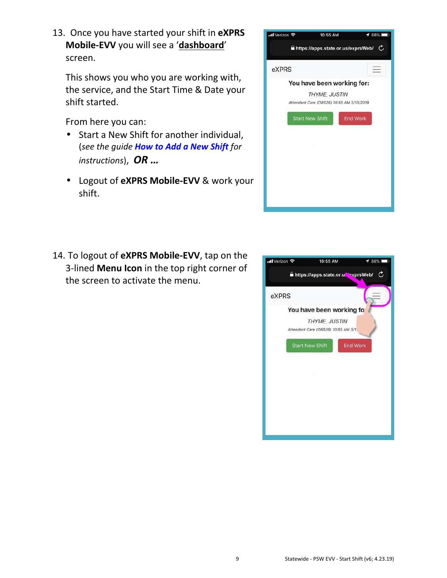13. Once you have started your shift in **eXPRS Mobile-EVV** you will see a '**dashboard**' screen.

This shows you who you are working with, the service, and the Start Time & Date your shift started.

From here you can:

- Start a New Shift for another individual, (*see the guide How to Add a New Shift for instructions*), *OR …*
- Logout of **eXPRS Mobile-EVV** & work your shift.

| ull Verizon 후                             | 10:55 AM                           |                 | 88% |  |
|-------------------------------------------|------------------------------------|-----------------|-----|--|
|                                           | https://apps.state.or.us/exprsWeb/ |                 |     |  |
| eXPRS                                     |                                    |                 |     |  |
| You have been working for:                |                                    |                 |     |  |
| THYME, JUSTIN                             |                                    |                 |     |  |
| Attendant Care (OR526) 10:55 AM 3/13/2019 |                                    |                 |     |  |
|                                           | <b>Start New Shift</b>             | <b>End Work</b> |     |  |
|                                           |                                    |                 |     |  |
|                                           |                                    |                 |     |  |
|                                           |                                    |                 |     |  |
|                                           |                                    |                 |     |  |
|                                           |                                    |                 |     |  |
|                                           |                                    |                 |     |  |

14. To logout of **eXPRS Mobile-EVV**, tap on the 3-lined **Menu Icon** in the top right corner of the screen to activate the menu.